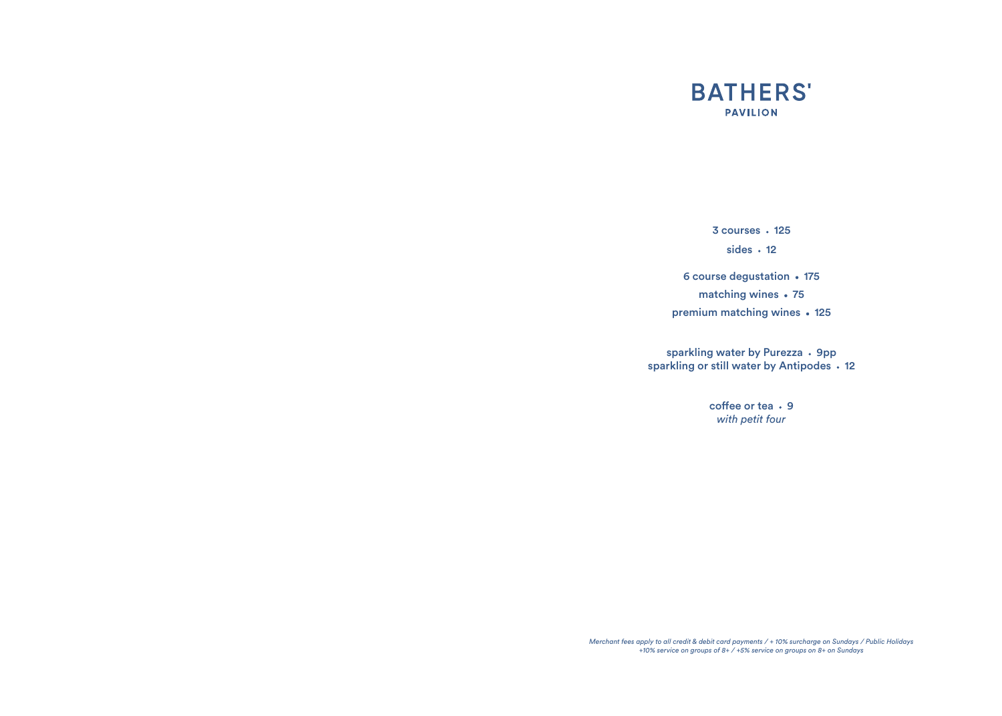

 $3$  courses  $\cdot$  125 sides  $\cdot$  12

6 course degustation • 175 matching wines • 75 premium matching wines • 125

sparkling water by Purezza • 9pp sparkling or still water by Antipodes . 12

> $cof$ fee or tea  $\cdot$  9 *with petit four*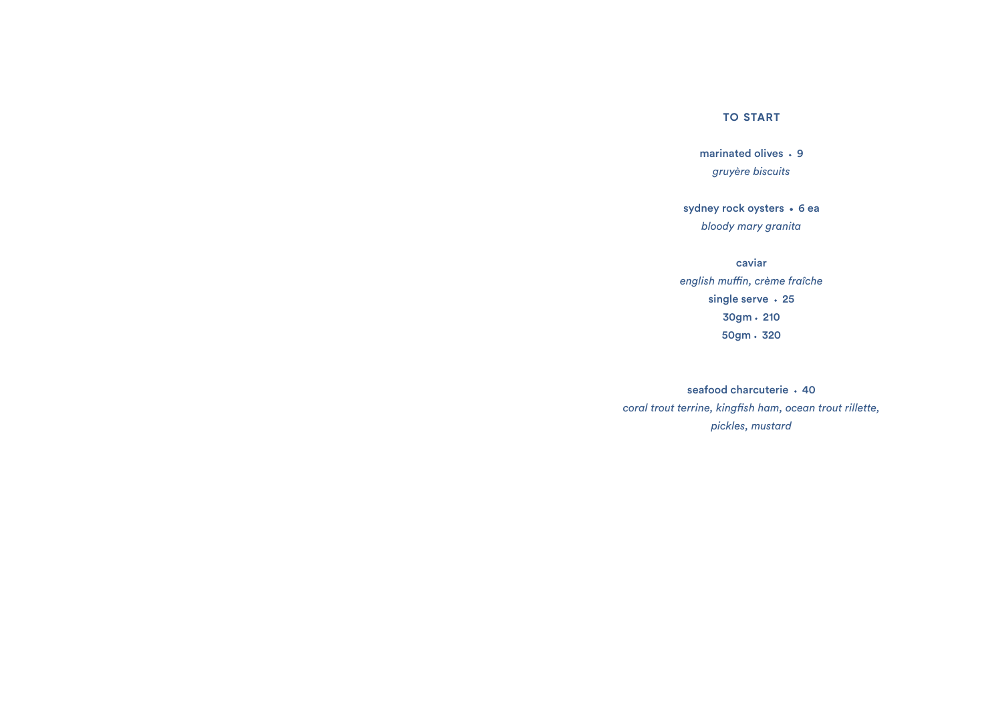#### **TO START**

marinated olives • 9 *gruyère biscuits*

sydney rock oysters • 6 ea *bloody mary granita*

caviar *english muffin, crème fraîche* single serve · 25  $30gm \cdot 210$ 50gm · 320

seafood charcuterie • 40 *coral trout terrine, kingfish ham, ocean trout rillette, pickles, mustard*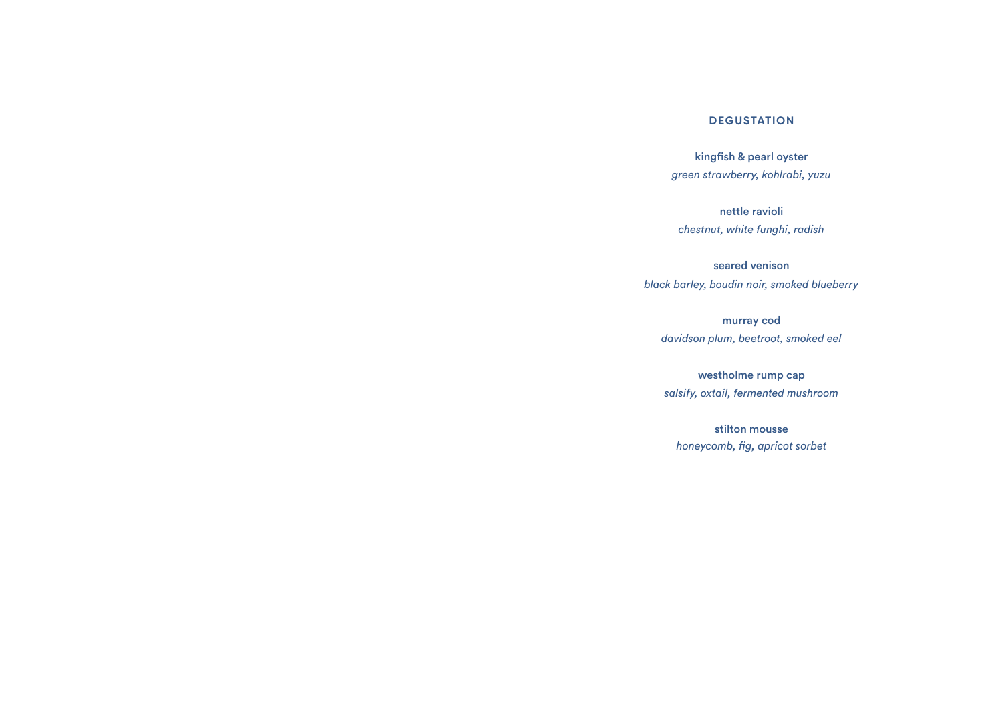#### **DEGUSTATION**

kingfish & pearl oyster *green strawberry, kohlrabi, yuzu*

nettle ravioli *chestnut, white funghi, radish*

seared venison *black barley, boudin noir, smoked blueberry*

murray cod *davidson plum, beetroot, smoked eel*

westholme rump cap *salsify, oxtail, fermented mushroom*

stilton mousse *honeycomb, fig, apricot sorbet*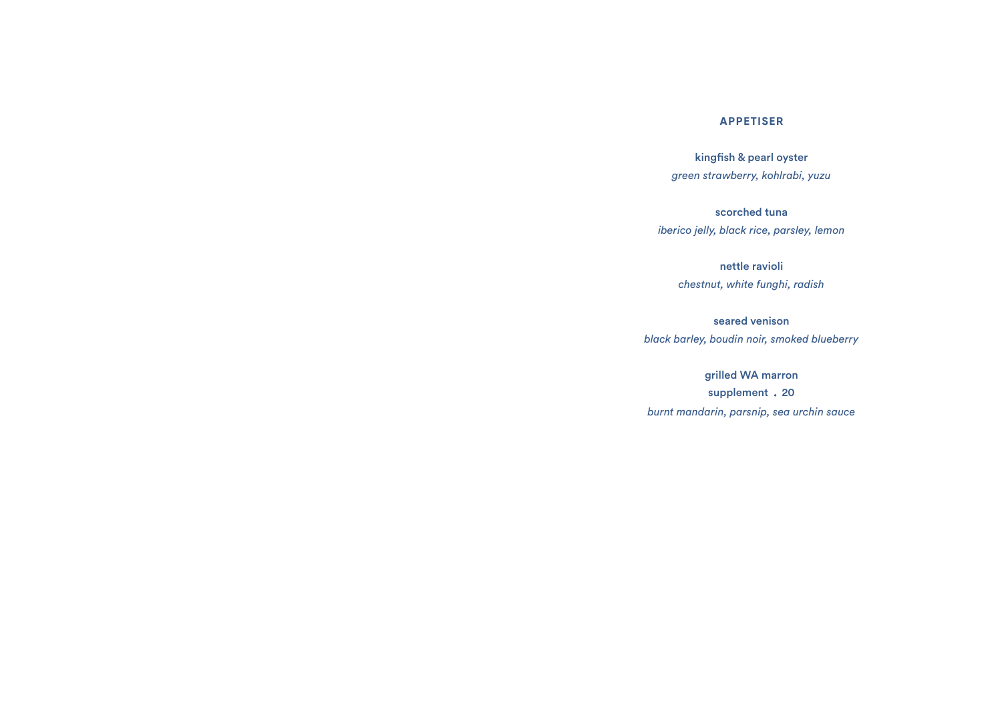#### **APPETISER**

kingfish & pearl oyster *green strawberry, kohlrabi, yuzu*

scorched tuna *iberico jelly, black rice, parsley, lemon*

> nettle ravioli *chestnut, white funghi, radish*

seared venison *black barley, boudin noir, smoked blueberry*

grilled WA marron supplement . 20 *burnt mandarin, parsnip, sea urchin sauce*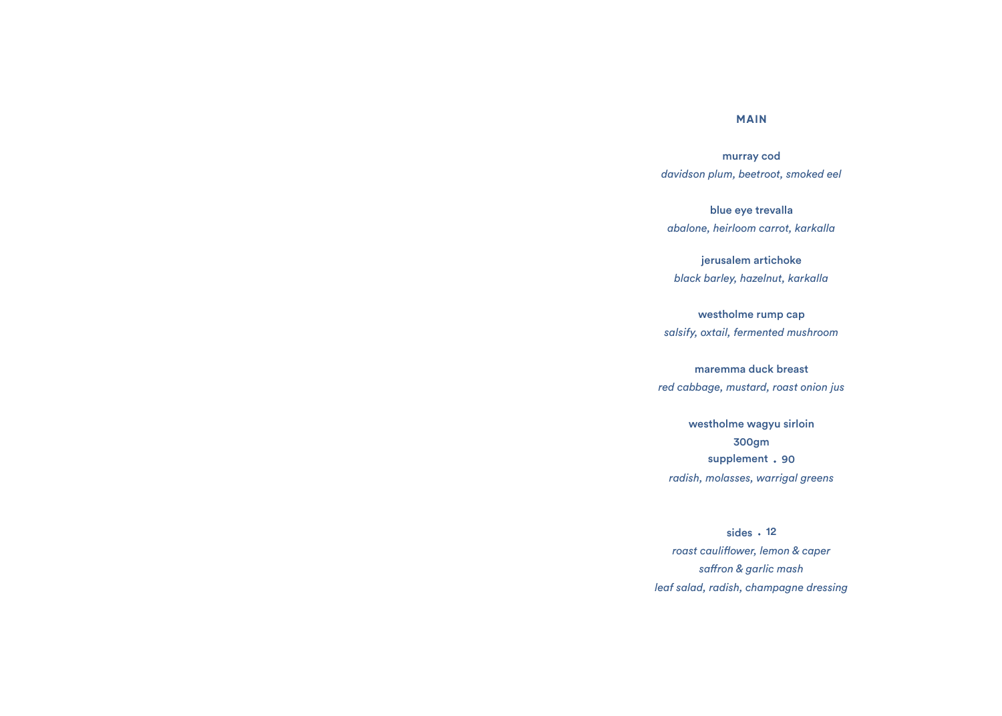## **MAIN**

murray cod *davidson plum, beetroot, smoked eel*

blue eye trevalla *abalone, heirloom carrot, karkalla*

jerusalem artichoke *black barley, hazelnut, karkalla*

westholme rump cap *salsify, oxtail, fermented mushroom*

maremma duck breast *red cabbage, mustard, roast onion jus*

westholme wagyu sirloin 300gm supplement . 90 *radish, molasses, warrigal greens*

sides · 12 *roast cauliflower, lemon & caper saffron & garlic mash leaf salad, radish, champagne dressing*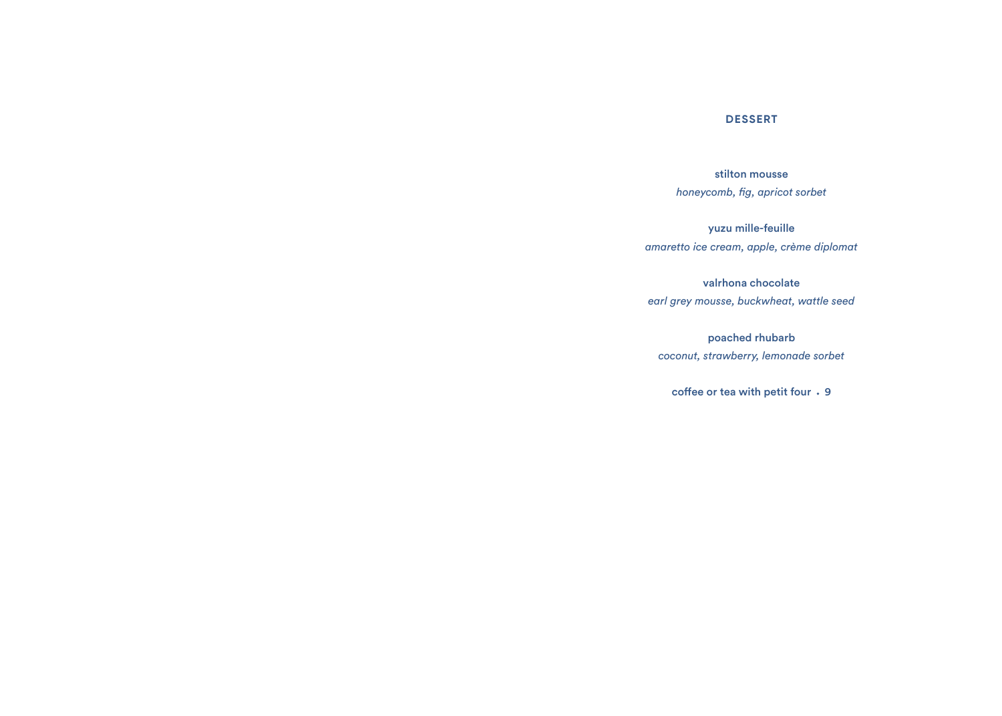## **DESSERT**

stilton mousse *honeycomb, fig, apricot sorbet*

yuzu mille-feuille *amaretto ice cream, apple, crème diplomat*

valrhona chocolate *earl grey mousse, buckwheat, wattle seed* 

poached rhubarb *coconut, strawberry, lemonade sorbet*

coffee or tea with petit four  $\cdot$  9